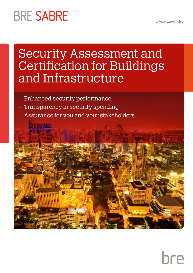# **BRE SABRE**

# Security Assessment and Certification for Buildings and Infrastructure

- Enhanced security performance
- Transparency in security spending
- Assurance for you and your stakeholders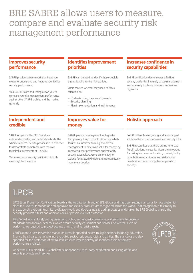## BRE SABRE allows users to measure, compare and evaluate security risk management performance

## **Improves security performance**

SABRE provides a framework that helps you measure, understand and improve your facility security performance.

Your SABRE Score and Rating allows you to compare your risk management performance against other SABRE facilities and the market generally.

## **Independent and credible**

SABRE is operated by BRE Global, an independent testing and certification body. The scheme requires users to provide robust evidence to demonstrate compliance with the core technical requirements of LPS2082.

This means your security certification is both meaningful and credible.

## **Identifies improvement priorities**

SABRE can be used to identify those credible threats leading to the highest risks.

Users can see whether they need to focus attention on:

- Understanding their security needs
- Security planning
- Plan implementation and maintenance

### **Increases confidence in security capabilities**

SABRE certification demonstrates a facility's security credentials internally to top management and externally to clients, investors, insurers and regulators.

## **Improves value for money**

SABRE provides management with greater transparency. It is possible to determine which facilities are underperforming and allows management to determine value for money, by comparing your performance against facility security expenditure. Gone are the days of waiting for a security incident to make a security investment decision.

## **Holistic approach**

SABRE is flexible, recognising and rewarding all solutions that contribute to reduced security risks.

SABRE recognises that there are no 'one-size fits all' solutions in security. Users are rewarded for taking into account location, context, facility type, built asset attributes and stakeholder needs when determining their approach to security.

## LPCB and  $LPCB$

LPCB (Loss Prevention Certification Board) is the certification brand of BRE Global and has been setting standards for loss prevention since the 1800's. Its standards and approvals for security products are recognised across the world. That recognition is testimony to the extremely thorough technical evaluation work and rigorous quality audit processes undertaken by BRE Global to ensure the security products it tests and approves deliver proven levels of protection.

BRE Global works closely with government, police, insurers, risk consultants and architects to develop standards and approval schemes which ensure security equipment and services deliver the levels of performance required to protect against criminal and terrorist threats.

Certification to Loss Prevention Standards (LPSs) is specified across multiple sectors, including: education, finance, healthcare, manufacturing, the public sector, residential, retail and utilities. The standards are also specified for the protection of critical infrastructure where delivery of specified levels of security performance is critical.

Under the LPCB brand, BRE Global offers independent, third-party certification and listing of fire and security products and services.

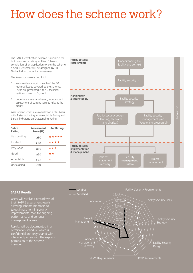# How does the scheme work?

The SABRE certification scheme is available for both new and existing facilities. Following completion of an application to join the scheme, a SABRE Assessor will be assigned by BRE Global Ltd to conduct an assessment.

The Assessor's role is two fold:

- 1. verify evidence against each of the 70 technical issues covered by the scheme. These are presented in the 9 technical sections shown in Figure 1.
- 2. undertake a scenario based, independent assessment of current security risks at the facility.

Assessment scores are awarded on a star basis, with 1 star indicating an Acceptable Rating and 5 stars indicating an Outstanding Rating.

| Sabre<br>Rating  | Assessment<br>Score (%) | <b>Star Rating</b> |
|------------------|-------------------------|--------------------|
| Outstanding      | $\geq 80$               | *****              |
| <b>Excellent</b> | $\geq 70$               | ****               |
| Very Good        | $\geq 60$               | ***                |
| Good             | $\geq 50$               | **                 |
| Acceptable       | $\geq 40$               | ÷                  |
| Unclassified     | -40                     |                    |



Users will receive a breakdown of their SABRE assessment results allowing scheme members to target investment in security improvements, monitor ongoing performance and conduct management reviews.

Results will be documented in a certification schedule which is interested parties with the express permission of the scheme member.